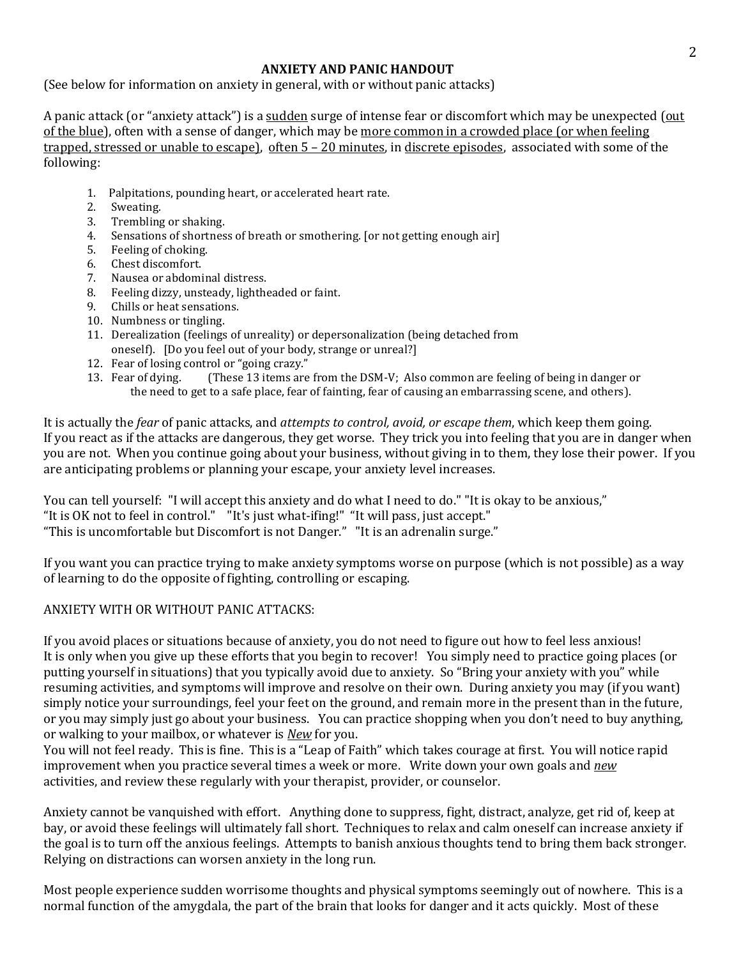## **ANXIETY AND PANIC HANDOUT**

(See below for information on anxiety in general, with or without panic attacks)

A panic attack (or "anxiety attack") is a sudden surge of intense fear or discomfort which may be unexpected (out of the blue), often with a sense of danger, which may be more common in a crowded place (or when feeling trapped, stressed or unable to escape), often 5 – 20 minutes, in discrete episodes, associated with some of the following:

- 1. Palpitations, pounding heart, or accelerated heart rate.
- 2. Sweating.
- 3. Trembling or shaking.
- 4. Sensations of shortness of breath or smothering. [or not getting enough air]
- 5. Feeling of choking.
- 6. Chest discomfort.
- 7. Nausea or abdominal distress.
- 8. Feeling dizzy, unsteady, lightheaded or faint.
- 9. Chills or heat sensations.
- 10. Numbness or tingling.
- 11. Derealization (feelings of unreality) or depersonalization (being detached from oneself). [Do you feel out of your body, strange or unreal?]
- 12. Fear of losing control or "going crazy."
- 13. Fear of dying. (These 13 items are from the DSM-V; Also common are feeling of being in danger or the need to get to a safe place, fear of fainting, fear of causing an embarrassing scene, and others).

It is actually the *fear* of panic attacks, and *attempts to control, avoid, or escape them*, which keep them going. If you react as if the attacks are dangerous, they get worse. They trick you into feeling that you are in danger when you are not. When you continue going about your business, without giving in to them, they lose their power. If you are anticipating problems or planning your escape, your anxiety level increases.

You can tell yourself: "I will accept this anxiety and do what I need to do." "It is okay to be anxious," "It is OK not to feel in control." "It's just what-ifing!" "It will pass, just accept." "This is uncomfortable but Discomfort is not Danger." "It is an adrenalin surge."

If you want you can practice trying to make anxiety symptoms worse on purpose (which is not possible) as a way of learning to do the opposite of fighting, controlling or escaping.

## ANXIETY WITH OR WITHOUT PANIC ATTACKS:

If you avoid places or situations because of anxiety, you do not need to figure out how to feel less anxious! It is only when you give up these efforts that you begin to recover! You simply need to practice going places (or putting yourself in situations) that you typically avoid due to anxiety. So "Bring your anxiety with you" while resuming activities, and symptoms will improve and resolve on their own. During anxiety you may (if you want) simply notice your surroundings, feel your feet on the ground, and remain more in the present than in the future, or you may simply just go about your business. You can practice shopping when you don't need to buy anything, or walking to your mailbox, or whatever is *New* for you.

You will not feel ready. This is fine. This is a "Leap of Faith" which takes courage at first. You will notice rapid improvement when you practice several times a week or more. Write down your own goals and *new* activities, and review these regularly with your therapist, provider, or counselor.

Anxiety cannot be vanquished with effort. Anything done to suppress, fight, distract, analyze, get rid of, keep at bay, or avoid these feelings will ultimately fall short. Techniques to relax and calm oneself can increase anxiety if the goal is to turn off the anxious feelings. Attempts to banish anxious thoughts tend to bring them back stronger. Relying on distractions can worsen anxiety in the long run.

Most people experience sudden worrisome thoughts and physical symptoms seemingly out of nowhere. This is a normal function of the amygdala, the part of the brain that looks for danger and it acts quickly. Most of these